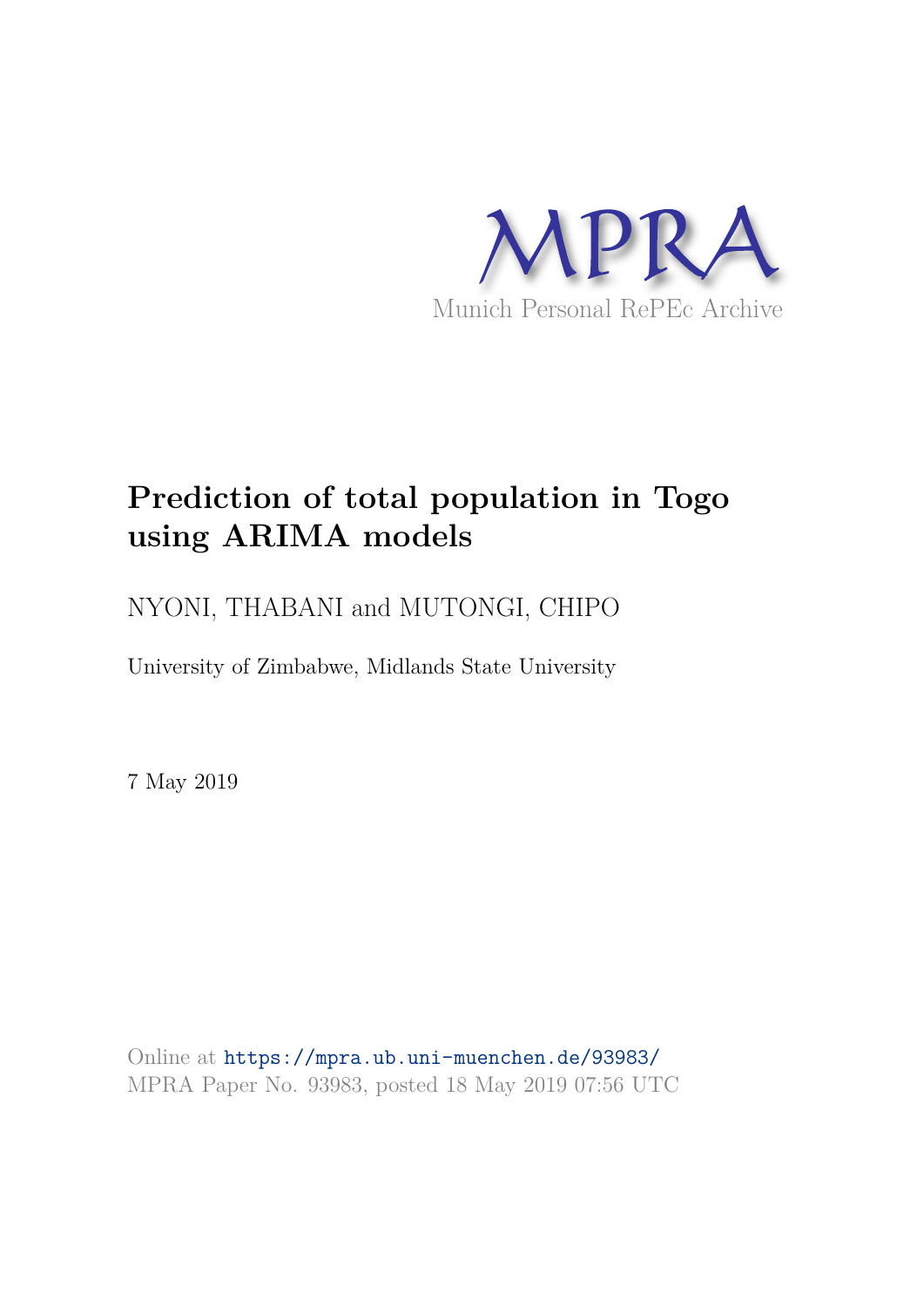

# **Prediction of total population in Togo using ARIMA models**

NYONI, THABANI and MUTONGI, CHIPO

University of Zimbabwe, Midlands State University

7 May 2019

Online at https://mpra.ub.uni-muenchen.de/93983/ MPRA Paper No. 93983, posted 18 May 2019 07:56 UTC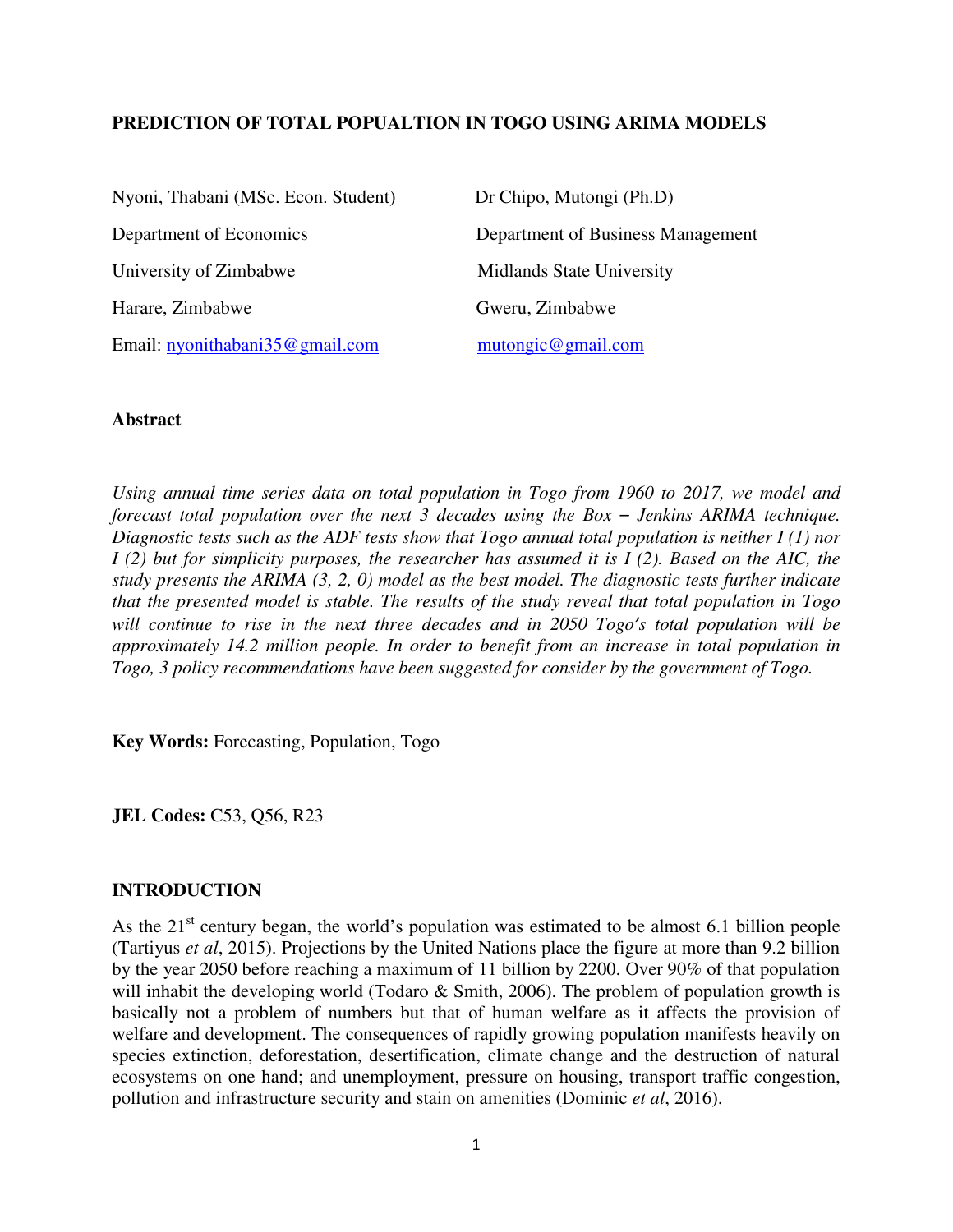### **PREDICTION OF TOTAL POPUALTION IN TOGO USING ARIMA MODELS**

| Nyoni, Thabani (MSc. Econ. Student) | Dr Chipo, Mutongi (Ph.D)          |
|-------------------------------------|-----------------------------------|
| Department of Economics             | Department of Business Management |
| University of Zimbabwe              | <b>Midlands State University</b>  |
| Harare, Zimbabwe                    | Gweru, Zimbabwe                   |
| Email: nyonithabani35@gmail.com     | mutongic@gmail.com                |

### **Abstract**

*Using annual time series data on total population in Togo from 1960 to 2017, we model and forecast total population over the next 3 decades using the Box – Jenkins ARIMA technique. Diagnostic tests such as the ADF tests show that Togo annual total population is neither I (1) nor I (2) but for simplicity purposes, the researcher has assumed it is I (2). Based on the AIC, the study presents the ARIMA (3, 2, 0) model as the best model. The diagnostic tests further indicate that the presented model is stable. The results of the study reveal that total population in Togo will continue to rise in the next three decades and in 2050 Togo's total population will be approximately 14.2 million people. In order to benefit from an increase in total population in Togo, 3 policy recommendations have been suggested for consider by the government of Togo.* 

**Key Words:** Forecasting, Population, Togo

**JEL Codes: C53, O56, R23** 

### **INTRODUCTION**

As the  $21<sup>st</sup>$  century began, the world's population was estimated to be almost 6.1 billion people (Tartiyus *et al*, 2015). Projections by the United Nations place the figure at more than 9.2 billion by the year 2050 before reaching a maximum of 11 billion by 2200. Over 90% of that population will inhabit the developing world (Todaro  $\&$  Smith, 2006). The problem of population growth is basically not a problem of numbers but that of human welfare as it affects the provision of welfare and development. The consequences of rapidly growing population manifests heavily on species extinction, deforestation, desertification, climate change and the destruction of natural ecosystems on one hand; and unemployment, pressure on housing, transport traffic congestion, pollution and infrastructure security and stain on amenities (Dominic *et al*, 2016).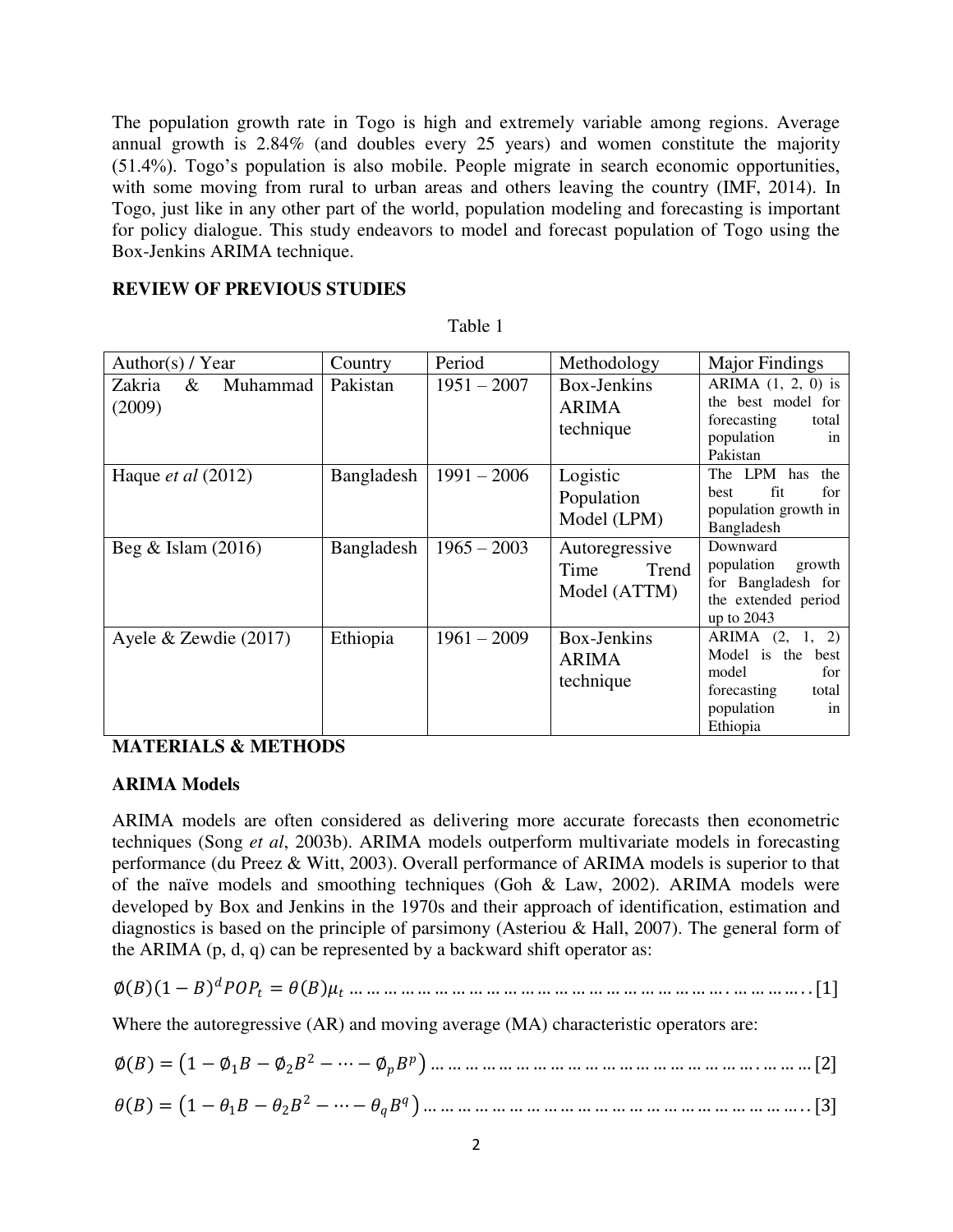The population growth rate in Togo is high and extremely variable among regions. Average annual growth is 2.84% (and doubles every 25 years) and women constitute the majority (51.4%). Togo's population is also mobile. People migrate in search economic opportunities, with some moving from rural to urban areas and others leaving the country (IMF, 2014). In Togo, just like in any other part of the world, population modeling and forecasting is important for policy dialogue. This study endeavors to model and forecast population of Togo using the Box-Jenkins ARIMA technique.

### **REVIEW OF PREVIOUS STUDIES**

| Author(s) / Year                  | Country    | Period        | Methodology                                     | <b>Major Findings</b>                                                                                           |
|-----------------------------------|------------|---------------|-------------------------------------------------|-----------------------------------------------------------------------------------------------------------------|
| Zakria<br>Muhammad<br>&<br>(2009) | Pakistan   | $1951 - 2007$ | Box-Jenkins<br><b>ARIMA</b><br>technique        | ARIMA $(1, 2, 0)$ is<br>the best model for<br>forecasting<br>total<br>population<br>in<br>Pakistan              |
| Haque <i>et al</i> $(2012)$       | Bangladesh | $1991 - 2006$ | Logistic<br>Population<br>Model (LPM)           | The LPM has<br>the<br>fit<br>for<br>best<br>population growth in<br>Bangladesh                                  |
| Beg $&$ Islam (2016)              | Bangladesh | $1965 - 2003$ | Autoregressive<br>Time<br>Trend<br>Model (ATTM) | Downward<br>population<br>growth<br>for Bangladesh for<br>the extended period<br>up to $2043$                   |
| Ayele $&$ Zewdie (2017)           | Ethiopia   | $1961 - 2009$ | Box-Jenkins<br><b>ARIMA</b><br>technique        | ARIMA (2, 1, 2)<br>Model is the<br>best<br>model<br>for<br>forecasting<br>total<br>population<br>in<br>Ethiopia |

Table 1

# **MATERIALS & METHODS**

### **ARIMA Models**

ARIMA models are often considered as delivering more accurate forecasts then econometric techniques (Song *et al*, 2003b). ARIMA models outperform multivariate models in forecasting performance (du Preez & Witt, 2003). Overall performance of ARIMA models is superior to that of the naïve models and smoothing techniques (Goh & Law, 2002). ARIMA models were developed by Box and Jenkins in the 1970s and their approach of identification, estimation and diagnostics is based on the principle of parsimony (Asteriou & Hall, 2007). The general form of the ARIMA  $(p, d, q)$  can be represented by a backward shift operator as:

∅ 1 − = … … … … … … … … … … … … … … … … … … … … … … . … … … … . . [1]

Where the autoregressive (AR) and moving average (MA) characteristic operators are:

| $\phi$ ()<br>$\sim$<br>$\sqrt{ }$ |
|-----------------------------------|
|-----------------------------------|

 = 1 − 1 − 2 <sup>2</sup> − ⋯ − … … … … … … … … … … … … … … … … … … … … … … . . [3]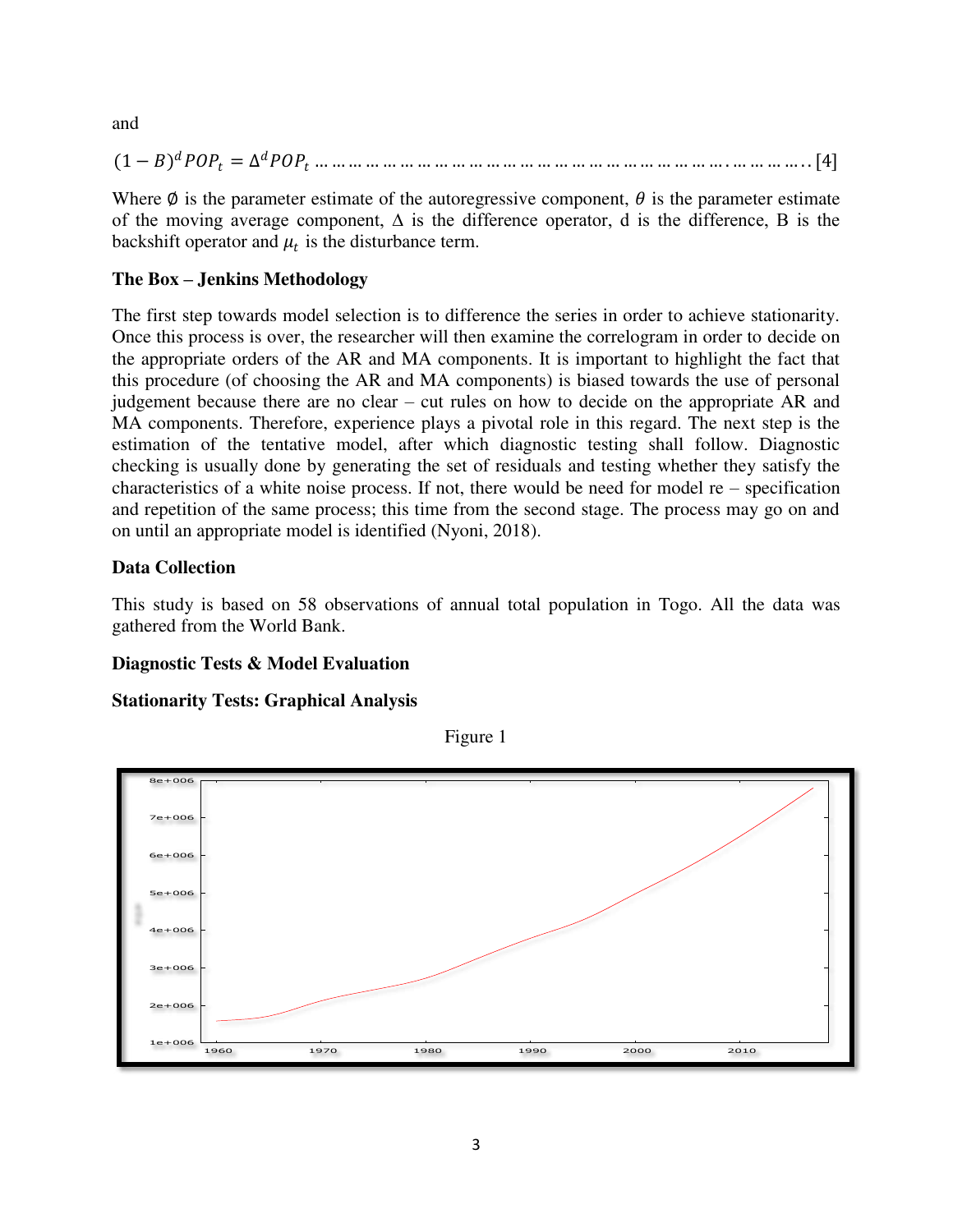and

(1 − ) = ∆ … … … … … … … … … … … … … … … … … … … … … … … … . … … … … . . [4]

Where  $\emptyset$  is the parameter estimate of the autoregressive component,  $\theta$  is the parameter estimate of the moving average component, ∆ is the difference operator, d is the difference, B is the backshift operator and  $\mu_t$  is the disturbance term.

# **The Box – Jenkins Methodology**

The first step towards model selection is to difference the series in order to achieve stationarity. Once this process is over, the researcher will then examine the correlogram in order to decide on the appropriate orders of the AR and MA components. It is important to highlight the fact that this procedure (of choosing the AR and MA components) is biased towards the use of personal judgement because there are no clear – cut rules on how to decide on the appropriate AR and MA components. Therefore, experience plays a pivotal role in this regard. The next step is the estimation of the tentative model, after which diagnostic testing shall follow. Diagnostic checking is usually done by generating the set of residuals and testing whether they satisfy the characteristics of a white noise process. If not, there would be need for model  $re$  – specification and repetition of the same process; this time from the second stage. The process may go on and on until an appropriate model is identified (Nyoni, 2018).

# **Data Collection**

This study is based on 58 observations of annual total population in Togo. All the data was gathered from the World Bank.

# **Diagnostic Tests & Model Evaluation**

# **Stationarity Tests: Graphical Analysis**



Figure 1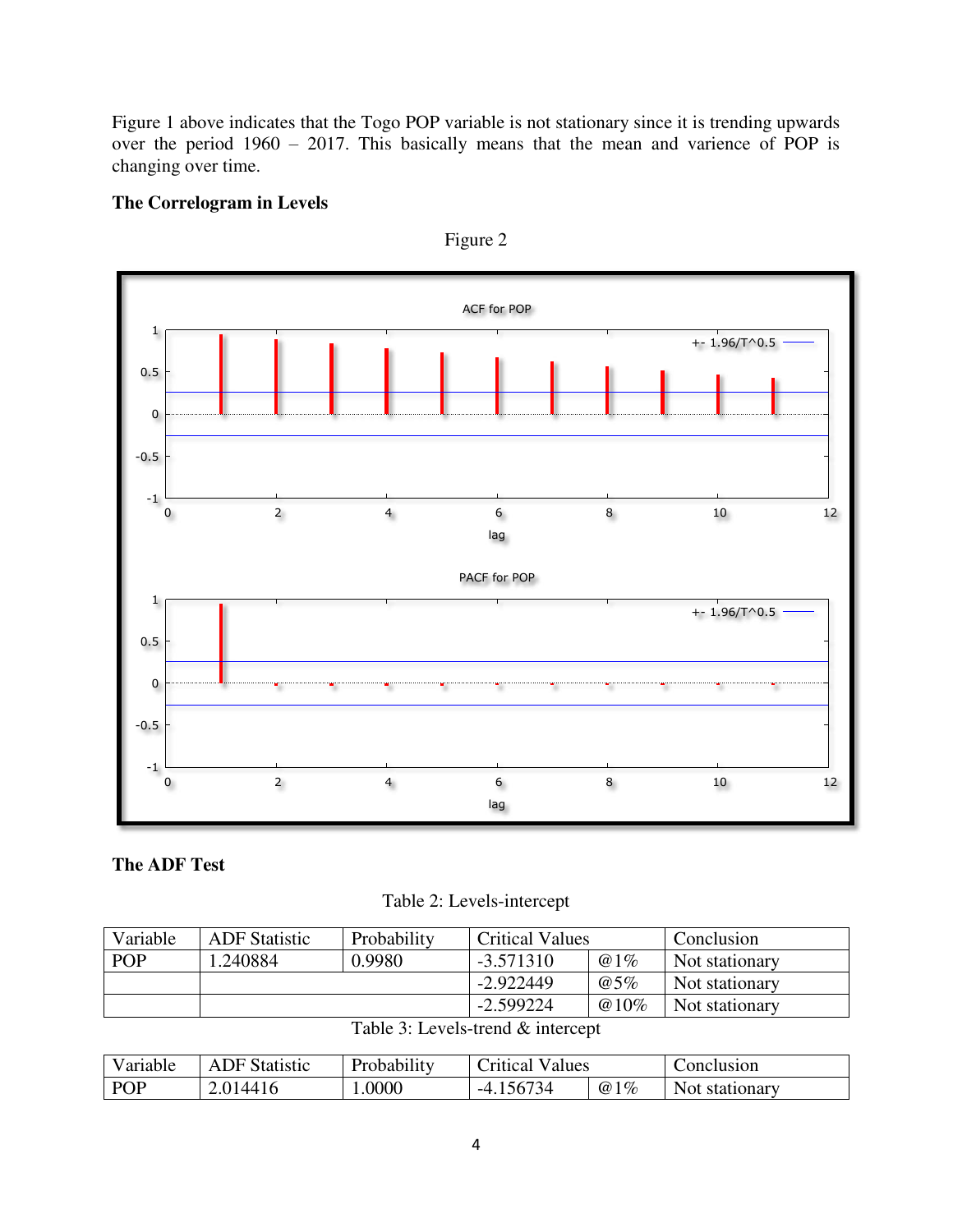Figure 1 above indicates that the Togo POP variable is not stationary since it is trending upwards over the period 1960 – 2017. This basically means that the mean and varience of POP is changing over time.

# **The Correlogram in Levels**



Figure 2

# **The ADF Test**

Table 2: Levels-intercept

| Variable   | <b>ADF</b> Statistic | Probability | <b>Critical Values</b> |        | Conclusion     |
|------------|----------------------|-------------|------------------------|--------|----------------|
| <b>POP</b> | .240884              | 0.9980      | $-3.571310$            | @1%    | Not stationary |
|            |                      |             | $-2.922449$            | $@5\%$ | Not stationary |
|            |                      |             | $-2.599224$            | @10%   | Not stationary |

| Table 3: Levels-trend & intercept |
|-----------------------------------|
|                                   |

| Variable   | NF.<br><b>Statistic</b> | Probability | -<br>Values<br>Critical |     | Conclusion     |
|------------|-------------------------|-------------|-------------------------|-----|----------------|
| <b>POP</b> | 2.0144                  | .0000       | 1734<br>-4              | @1% | Not stationary |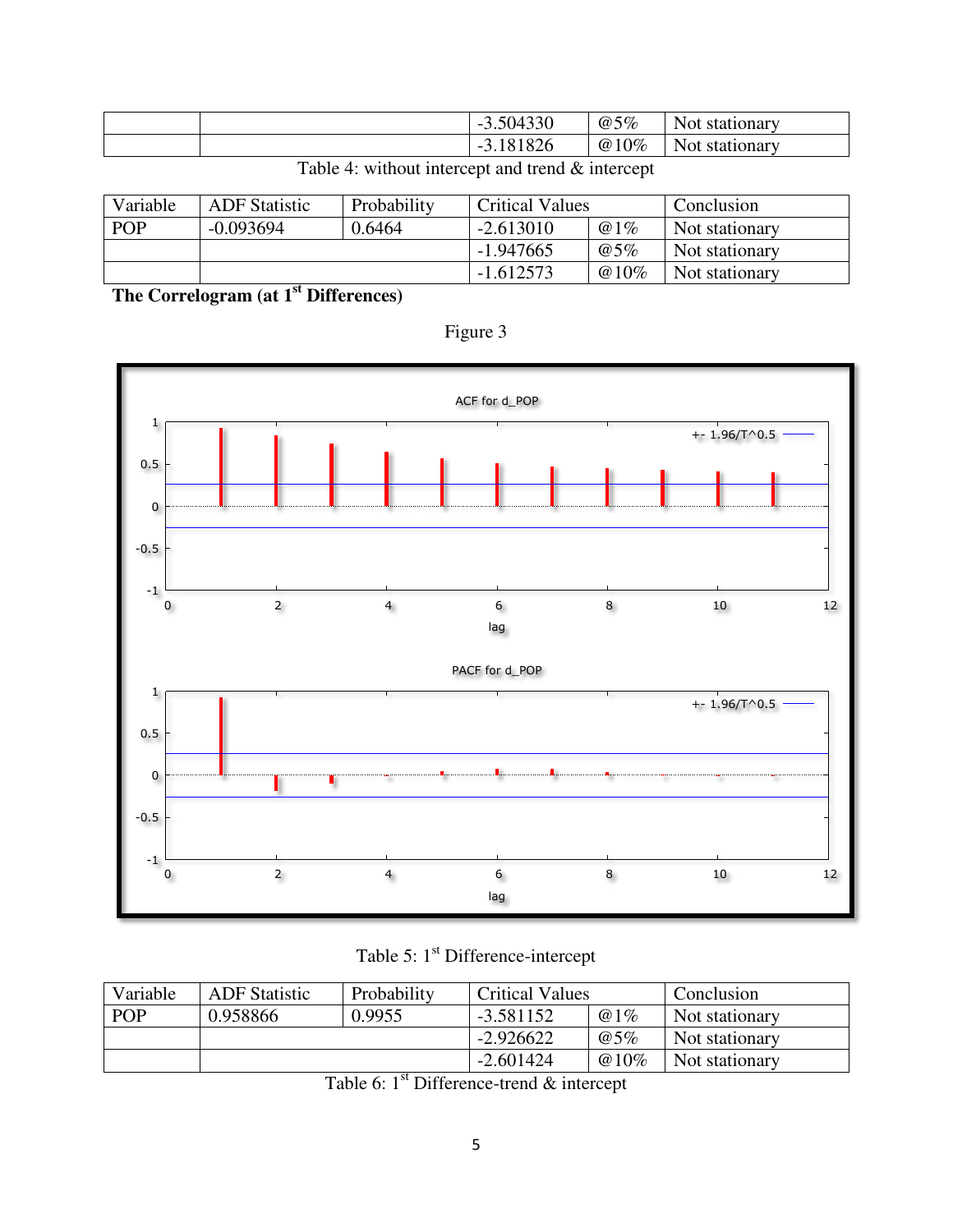|  | 3.504330<br>$\overline{\phantom{a}}$       | @5%  | <b>Not</b><br>. stationary |
|--|--------------------------------------------|------|----------------------------|
|  | 81826<br>$\overline{\phantom{0}}$<br>J . 1 | @10% | <b>Not</b><br>stationary   |

Variable ADF Statistic Probability Critical Values Conclusion<br>
POP -0.093694 0.6464 -2.613010 @1% Not stationa POP -0.093694 0.6464 -2.613010 @1% Not stationary<br>-1.947665 @5% Not stationary  $\begin{array}{c|c}\n-1.947665 & \textcircled{65\%} \\
\hline\n-1.612573 & \textcircled{610\%} \\
\end{array}$  Not stationary @10% Not stationary

Table 4: without intercept and trend & intercept

**The Correlogram (at 1st Differences)** 



Figure 3

Table 5: 1<sup>st</sup> Difference-intercept

| Variable   | <b>ADF</b> Statistic | Probability | <b>Critical Values</b> |                | Conclusion     |
|------------|----------------------|-------------|------------------------|----------------|----------------|
| <b>POP</b> | 0.958866             | 0.9955      | $-3.581152$            | @1%            | Not stationary |
|            |                      | $-2.926622$ | @5%                    | Not stationary |                |
|            |                      |             | $-2.601424$            | $@10\%$        | Not stationary |

Table 6:  $1<sup>st</sup>$  Difference-trend  $&$  intercept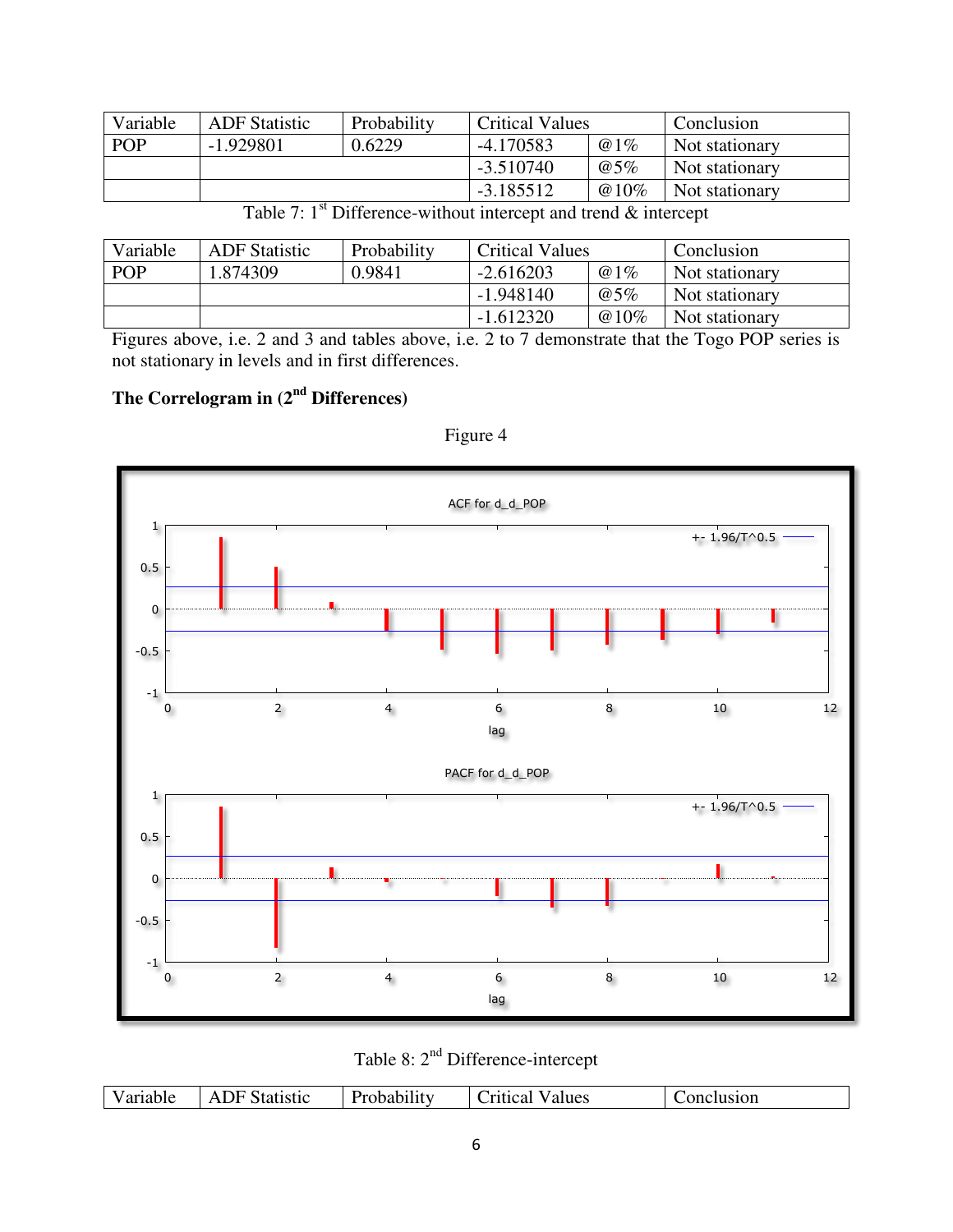| Variable   | <b>ADF</b> Statistic | Probability | <b>Critical Values</b> |                | Conclusion     |
|------------|----------------------|-------------|------------------------|----------------|----------------|
| <b>POP</b> | $-1.929801$          | 0.6229      | $-4.170583$            | @1%            | Not stationary |
|            |                      | $-3.510740$ | @5%                    | Not stationary |                |
|            |                      |             | $-3.185512$            | $@10\%$        | Not stationary |

|  |  | Table 7: $1st$ Difference-without intercept and trend & intercept |
|--|--|-------------------------------------------------------------------|
|  |  |                                                                   |

| Variable   | <b>ADF</b> Statistic | Probability | <b>Critical Values</b> |                | Conclusion     |
|------------|----------------------|-------------|------------------------|----------------|----------------|
| <b>POP</b> | 1.874309             | 0.9841      | $-2.616203$            | @1%            | Not stationary |
|            |                      |             | $-1.948140$            | @5%            | Not stationary |
|            |                      | $-1.612320$ | $@10\%$                | Not stationary |                |

Figures above, i.e. 2 and 3 and tables above, i.e. 2 to 7 demonstrate that the Togo POP series is not stationary in levels and in first differences.

# **The Correlogram in (2nd Differences)**



Figure 4

Table 8: 2<sup>nd</sup> Difference-intercept

| Variable | Statistic<br>$\Delta$ | Probability | <b>V</b> alues<br>Critical | Conclusion |
|----------|-----------------------|-------------|----------------------------|------------|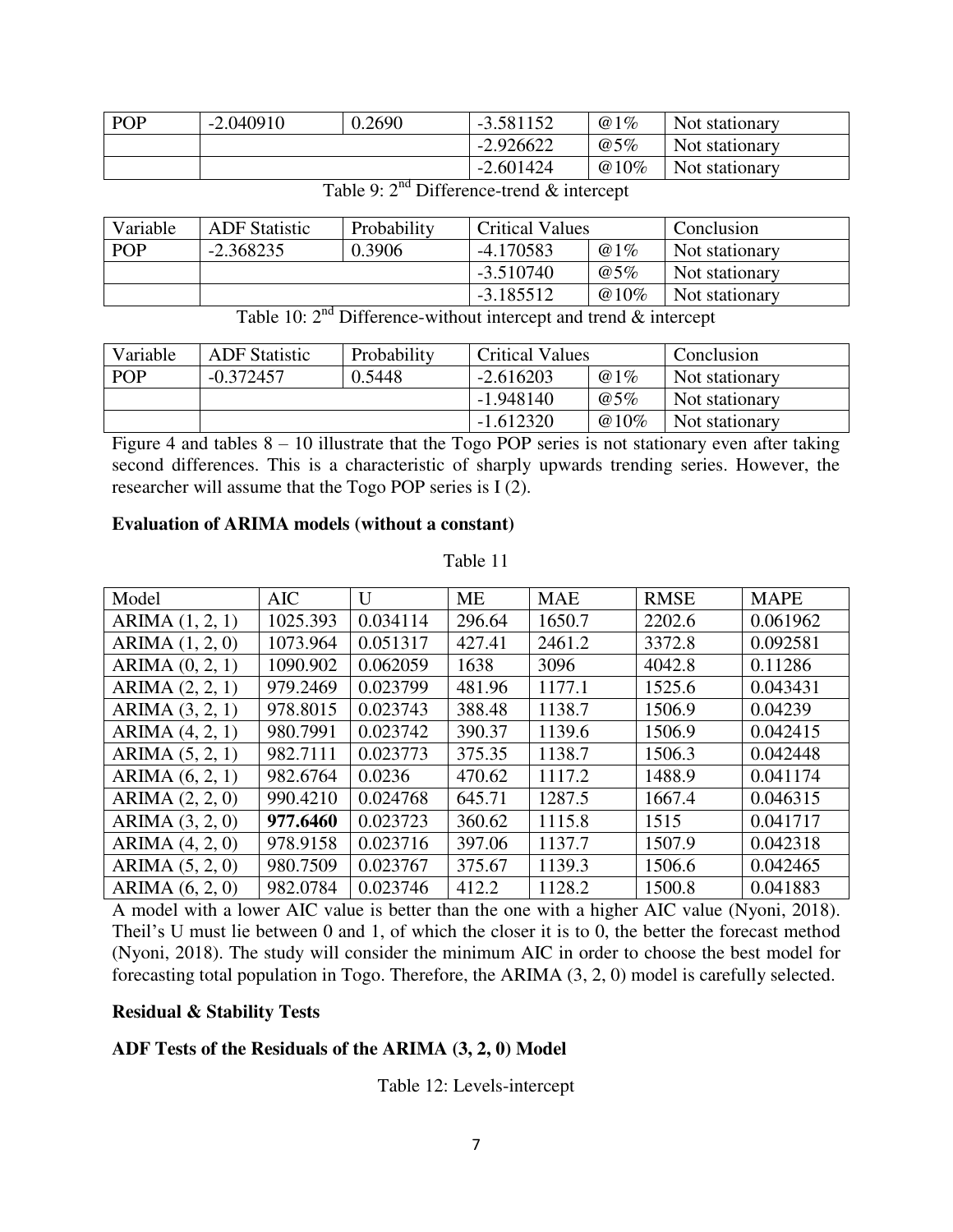| <b>POP</b> | $-2.040910$ | 0.2690 | $-3.581152$ | @1%     | Not stationary |
|------------|-------------|--------|-------------|---------|----------------|
|            |             |        | $-2.926622$ | @5%     | Not stationary |
|            |             |        | $-2.601424$ | $@10\%$ | Not stationary |

Table 9:  $2<sup>nd</sup>$  Difference-trend  $&$  intercept

| Variable   | <b>ADF</b> Statistic | Probability | <b>Critical Values</b> |         | Conclusion     |
|------------|----------------------|-------------|------------------------|---------|----------------|
| <b>POP</b> | $-2.368235$          | 0.3906      | $-4.170583$            | @1%     | Not stationary |
|            |                      |             | $-3.510740$            | @5%     | Not stationary |
|            |                      |             | $-3.185512$            | $@10\%$ | Not stationary |

Table 10:  $2<sup>nd</sup>$  Difference-without intercept and trend  $&$  intercept

| Variable   | <b>ADF</b> Statistic | Probability | <b>Critical Values</b> |         | Conclusion     |
|------------|----------------------|-------------|------------------------|---------|----------------|
| <b>POP</b> | $-0.372457$          | 0.5448      | $-2.616203$            | @1%     | Not stationary |
|            |                      |             | $-1.948140$            | @5%     | Not stationary |
|            |                      |             | $-1.612320$            | $@10\%$ | Not stationary |

Figure 4 and tables  $8 - 10$  illustrate that the Togo POP series is not stationary even after taking second differences. This is a characteristic of sharply upwards trending series. However, the researcher will assume that the Togo POP series is I (2).

### **Evaluation of ARIMA models (without a constant)**

Model | AIC | U | ME | MAE | RMSE | MAPE ARIMA (1, 2, 1) | 1025.393 | 0.034114 | 296.64 | 1650.7 | 2202.6 | 0.061962 ARIMA (1, 2, 0) | 1073.964 | 0.051317 | 427.41 | 2461.2 | 3372.8 | 0.092581 ARIMA (0, 2, 1) | 1090.902 | 0.062059 | 1638 | 3096 | 4042.8 | 0.11286 ARIMA  $(2, 2, 1)$  979.2469  $\vert 0.023799 \vert 481.96$  1177.1 1525.6  $\vert 0.043431 \vert$ ARIMA (3, 2, 1) 978.8015 0.023743 388.48 1138.7 1506.9 0.04239 ARIMA (4, 2, 1) | 980.7991 | 0.023742 | 390.37 | 1139.6 | 1506.9 | 0.042415 ARIMA  $(5, 2, 1)$  982.7111 0.023773 375.35 1138.7 1506.3 0.042448 ARIMA (6, 2, 1) | 982.6764 | 0.0236 | 470.62 | 1117.2 | 1488.9 | 0.041174 ARIMA (2, 2, 0)  $990.4210 \mid 0.024768 \mid 645.71 \mid 1287.5 \mid 1667.4 \mid 0.046315$ ARIMA (3, 2, 0) **977.6460 0.023723 360.62 1115.8 1515 0.041717** ARIMA (4, 2, 0) | 978.9158 | 0.023716 | 397.06 | 1137.7 | 1507.9 | 0.042318 ARIMA (5, 2, 0) 980.7509 0.023767 375.67 1139.3 1506.6 0.042465 ARIMA (6, 2, 0) 982.0784 0.023746 412.2 1128.2 1500.8 0.041883

Table 11

A model with a lower AIC value is better than the one with a higher AIC value (Nyoni, 2018). Theil's U must lie between 0 and 1, of which the closer it is to 0, the better the forecast method (Nyoni, 2018). The study will consider the minimum AIC in order to choose the best model for forecasting total population in Togo. Therefore, the ARIMA (3, 2, 0) model is carefully selected.

### **Residual & Stability Tests**

# **ADF Tests of the Residuals of the ARIMA (3, 2, 0) Model**

Table 12: Levels-intercept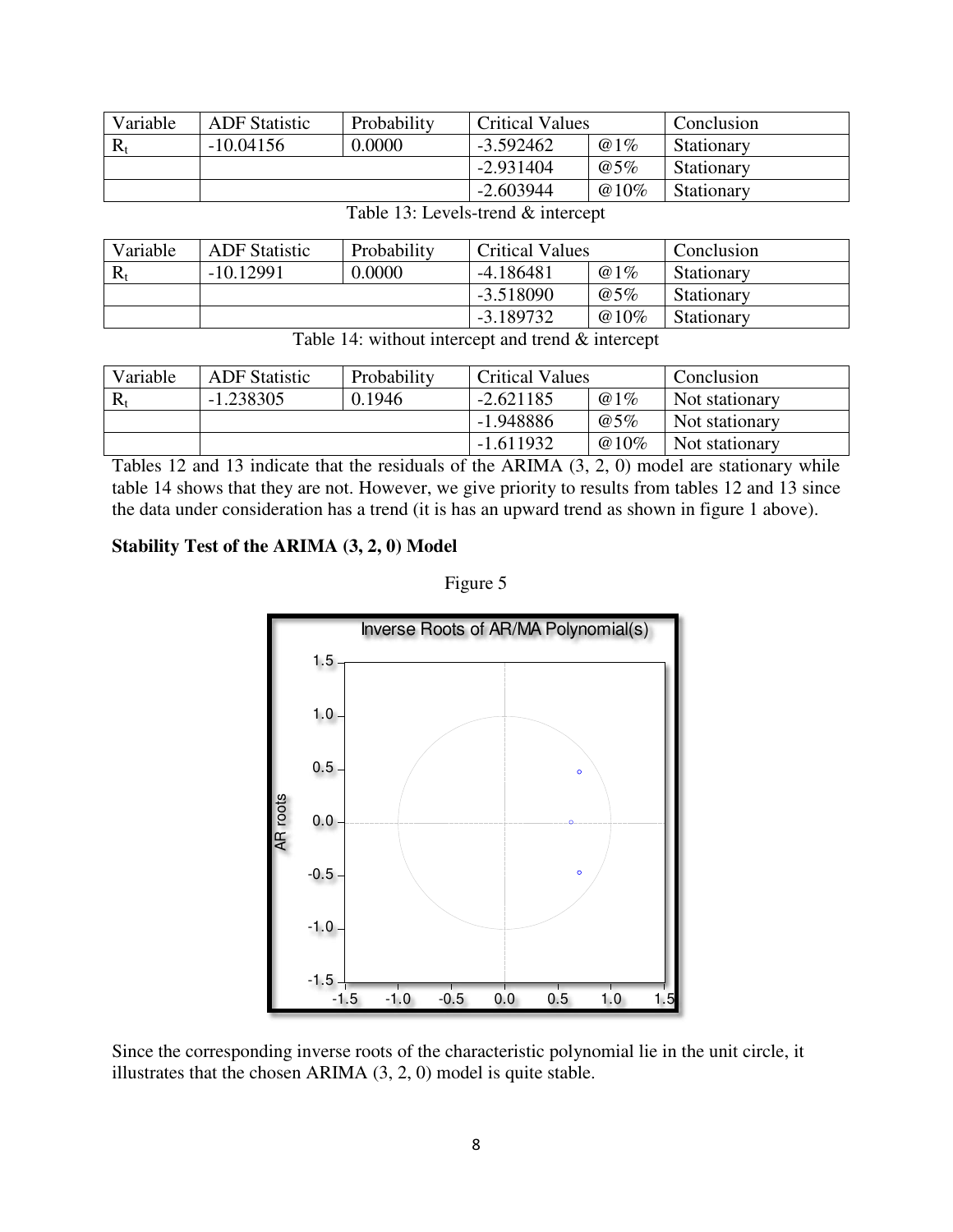| Variable | <b>ADF</b> Statistic | Probability | <b>Critical Values</b> |         | Conclusion |
|----------|----------------------|-------------|------------------------|---------|------------|
|          | $-10.04156$          | 0.0000      | $-3.592462$            | @1%     | Stationary |
|          |                      |             | $-2.931404$            | @5%     | Stationary |
|          |                      |             | $-2.603944$            | $@10\%$ | Stationary |

| Variable    | <b>ADF</b> Statistic | Probability | <b>Critical Values</b> |      | Conclusion        |
|-------------|----------------------|-------------|------------------------|------|-------------------|
| $\rm R_{r}$ | $-10.12991$          | 0.0000      | $-4.186481$            | @1%  | Stationary        |
|             |                      |             | $-3.518090$            | @5%  | Stationary        |
|             |                      |             | $-3.189732$            | @10% | <b>Stationary</b> |

Table 13: Levels-trend & intercept

|  |  | Table 14: without intercept and trend $\&$ intercept |  |  |
|--|--|------------------------------------------------------|--|--|
|--|--|------------------------------------------------------|--|--|

| Variable | <b>ADF</b> Statistic | Probability | <b>Critical Values</b> |      | Conclusion     |
|----------|----------------------|-------------|------------------------|------|----------------|
|          | $-1.238305$          | 0.1946      | $-2.621185$            | @1%  | Not stationary |
|          |                      |             | $-1.948886$            | @5%  | Not stationary |
|          |                      |             | $-1.611932$            | @10% | Not stationary |

Tables 12 and 13 indicate that the residuals of the ARIMA (3, 2, 0) model are stationary while table 14 shows that they are not. However, we give priority to results from tables 12 and 13 since the data under consideration has a trend (it is has an upward trend as shown in figure 1 above).

### **Stability Test of the ARIMA (3, 2, 0) Model**



Figure 5

Since the corresponding inverse roots of the characteristic polynomial lie in the unit circle, it illustrates that the chosen ARIMA (3, 2, 0) model is quite stable.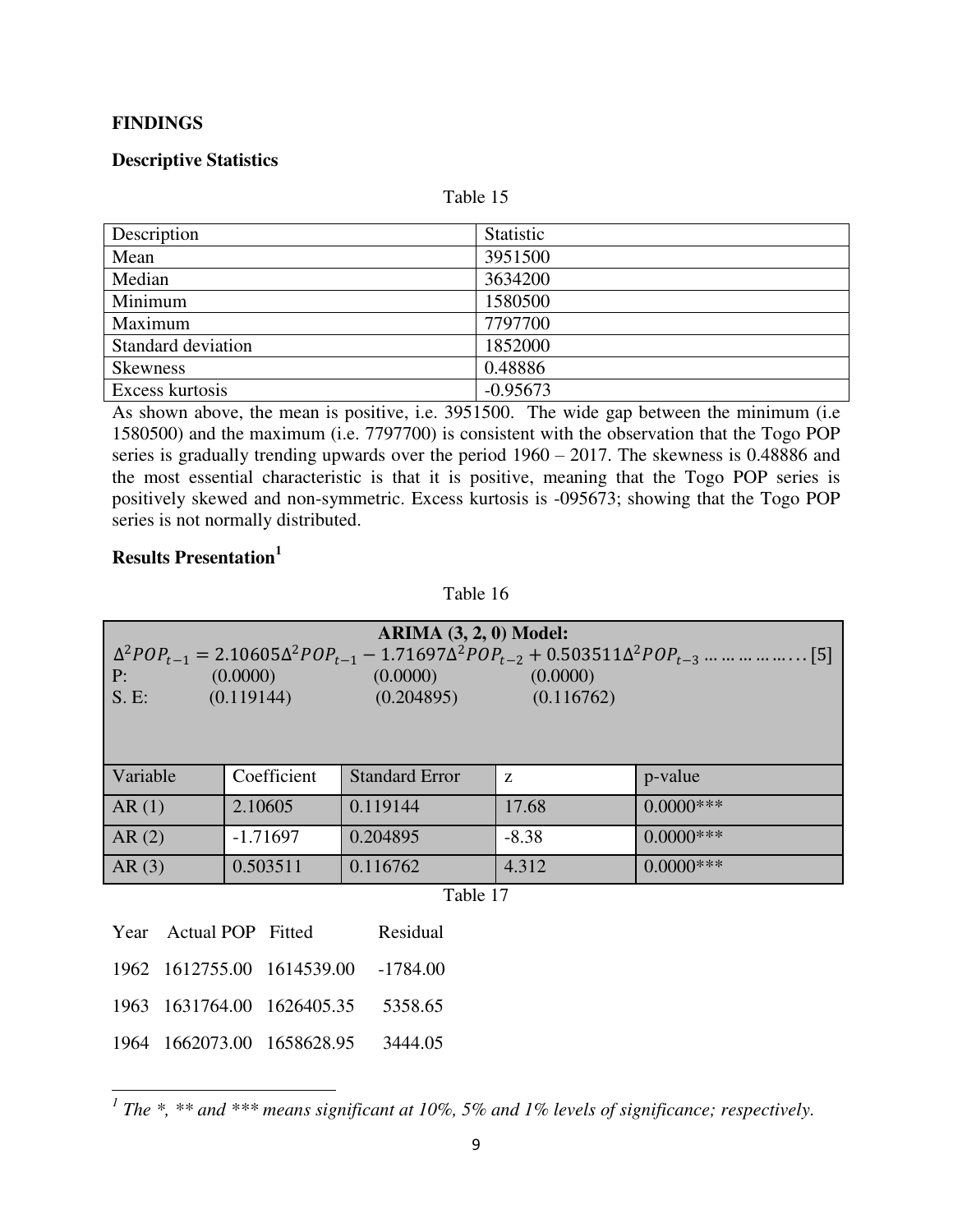### **FINDINGS**

### **Descriptive Statistics**

Table 15

| Description        | Statistic  |
|--------------------|------------|
| Mean               | 3951500    |
| Median             | 3634200    |
| Minimum            | 1580500    |
| Maximum            | 7797700    |
| Standard deviation | 1852000    |
| <b>Skewness</b>    | 0.48886    |
| Excess kurtosis    | $-0.95673$ |

As shown above, the mean is positive, i.e. 3951500. The wide gap between the minimum (i.e 1580500) and the maximum (i.e. 7797700) is consistent with the observation that the Togo POP series is gradually trending upwards over the period 1960 – 2017. The skewness is 0.48886 and the most essential characteristic is that it is positive, meaning that the Togo POP series is positively skewed and non-symmetric. Excess kurtosis is -095673; showing that the Togo POP series is not normally distributed.

### **Results Presentation<sup>1</sup>**

l

Table 16

| ARIMA $(3, 2, 0)$ Model:<br>(0.0000)<br>(0.0000)<br>(0.0000)<br>P:<br>S.E:<br>(0.119144)<br>(0.204895)<br>(0.116762) |                                       |                       |         |              |  |
|----------------------------------------------------------------------------------------------------------------------|---------------------------------------|-----------------------|---------|--------------|--|
| Variable                                                                                                             | Coefficient                           | <b>Standard Error</b> | Z       | p-value      |  |
| AR(1)                                                                                                                | 2.10605                               | 0.119144              | 17.68   | $0.0000$ *** |  |
| AR(2)                                                                                                                | $-1.71697$                            | 0.204895              | $-8.38$ | $0.0000$ *** |  |
| AR(3)                                                                                                                | 0.503511<br>0.116762                  |                       | 4.312   | $0.0000$ *** |  |
|                                                                                                                      |                                       | Table 17              |         |              |  |
| Year                                                                                                                 | Actual POP Fitted                     | Residual              |         |              |  |
|                                                                                                                      | 1962 1612755.00 1614539.00            | -1784.00              |         |              |  |
|                                                                                                                      | 1963 1631764.00 1626405.35<br>5358.65 |                       |         |              |  |
|                                                                                                                      | 1964 1662073.00 1658628.95            | 3444.05               |         |              |  |

<sup>1</sup> The \*, \*\* and \*\*\* means significant at 10%, 5% and 1% levels of significance; respectively.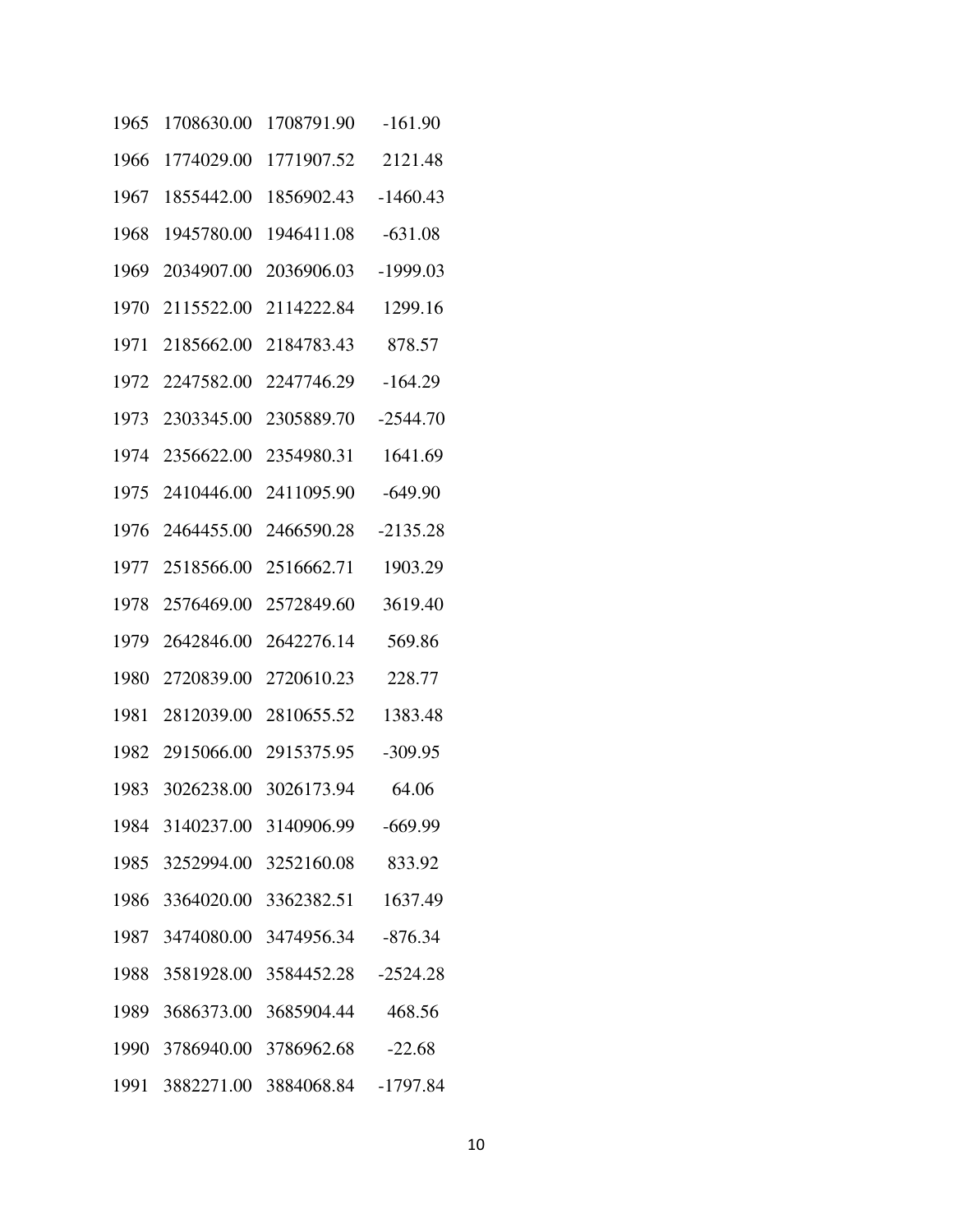| 1965 | 1708630.00 | 1708791.90                          | $-161.90$  |
|------|------------|-------------------------------------|------------|
| 1966 | 1774029.00 | 1771907.52                          | 2121.48    |
| 1967 | 1855442.00 | 1856902.43                          | $-1460.43$ |
| 1968 | 1945780.00 | 1946411.08                          | $-631.08$  |
| 1969 | 2034907.00 | 2036906.03                          | $-1999.03$ |
| 1970 | 2115522.00 | 2114222.84                          | 1299.16    |
| 1971 | 2185662.00 | 2184783.43                          | 878.57     |
| 1972 | 2247582.00 | 2247746.29                          | $-164.29$  |
| 1973 | 2303345.00 | 2305889.70                          | $-2544.70$ |
| 1974 | 2356622.00 | 2354980.31                          | 1641.69    |
| 1975 | 2410446.00 | 2411095.90                          | $-649.90$  |
| 1976 | 2464455.00 | 2466590.28                          | $-2135.28$ |
| 1977 | 2518566.00 | 2516662.71                          | 1903.29    |
| 1978 | 2576469.00 | 2572849.60                          | 3619.40    |
| 1979 | 2642846.00 | 2642276.14                          | 569.86     |
| 1980 | 2720839.00 | 2720610.23                          | 228.77     |
| 1981 | 2812039.00 | 2810655.52                          | 1383.48    |
| 1982 | 2915066.00 | 2915375.95                          | $-309.95$  |
| 1983 | 3026238.00 | 3026173.94                          | 64.06      |
|      |            | 1984 3140237.00 3140906.99          | $-669.99$  |
|      |            | 1985 3252994.00 3252160.08 833.92   |            |
|      |            | 1986 3364020.00 3362382.51          | 1637.49    |
|      |            | 1987 3474080.00 3474956.34 -876.34  |            |
|      |            | 1988 3581928.00 3584452.28          | $-2524.28$ |
|      |            | 1989 3686373.00 3685904.44          | 468.56     |
|      |            | 1990 3786940.00 3786962.68 -22.68   |            |
|      |            | 1991 3882271.00 3884068.84 -1797.84 |            |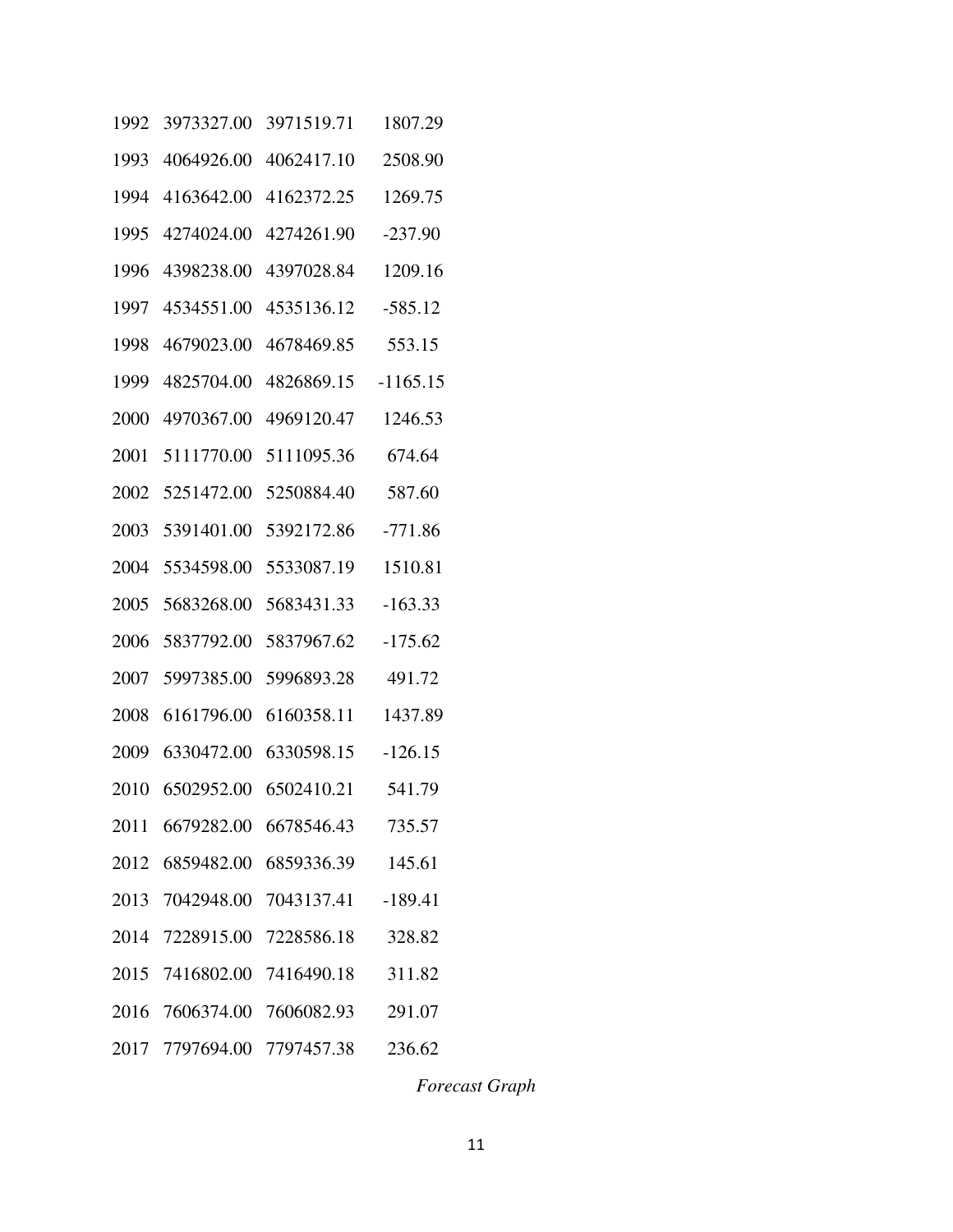| 1992 | 3973327.00 | 3971519.71                        | 1807.29    |
|------|------------|-----------------------------------|------------|
| 1993 | 4064926.00 | 4062417.10                        | 2508.90    |
| 1994 | 4163642.00 | 4162372.25                        | 1269.75    |
| 1995 | 4274024.00 | 4274261.90                        | $-237.90$  |
| 1996 | 4398238.00 | 4397028.84                        | 1209.16    |
| 1997 | 4534551.00 | 4535136.12                        | $-585.12$  |
| 1998 | 4679023.00 | 4678469.85                        | 553.15     |
| 1999 | 4825704.00 | 4826869.15                        | $-1165.15$ |
| 2000 | 4970367.00 | 4969120.47                        | 1246.53    |
| 2001 | 5111770.00 | 5111095.36                        | 674.64     |
| 2002 | 5251472.00 | 5250884.40                        | 587.60     |
| 2003 | 5391401.00 | 5392172.86                        | $-771.86$  |
| 2004 | 5534598.00 | 5533087.19                        | 1510.81    |
| 2005 | 5683268.00 | 5683431.33                        | $-163.33$  |
| 2006 | 5837792.00 | 5837967.62                        | $-175.62$  |
| 2007 | 5997385.00 | 5996893.28                        | 491.72     |
| 2008 | 6161796.00 | 6160358.11                        | 1437.89    |
| 2009 | 6330472.00 | 6330598.15                        | $-126.15$  |
| 2010 | 6502952.00 | 6502410.21                        | 541.79     |
|      |            | 2011 6679282.00 6678546.43 735.57 |            |
|      |            | 2012 6859482.00 6859336.39 145.61 |            |
|      |            | 2013 7042948.00 7043137.41        | $-189.41$  |
|      |            | 2014 7228915.00 7228586.18 328.82 |            |
|      |            | 2015 7416802.00 7416490.18 311.82 |            |
|      |            | 2016 7606374.00 7606082.93 291.07 |            |
|      |            | 2017 7797694.00 7797457.38        | 236.62     |

*Forecast Graph*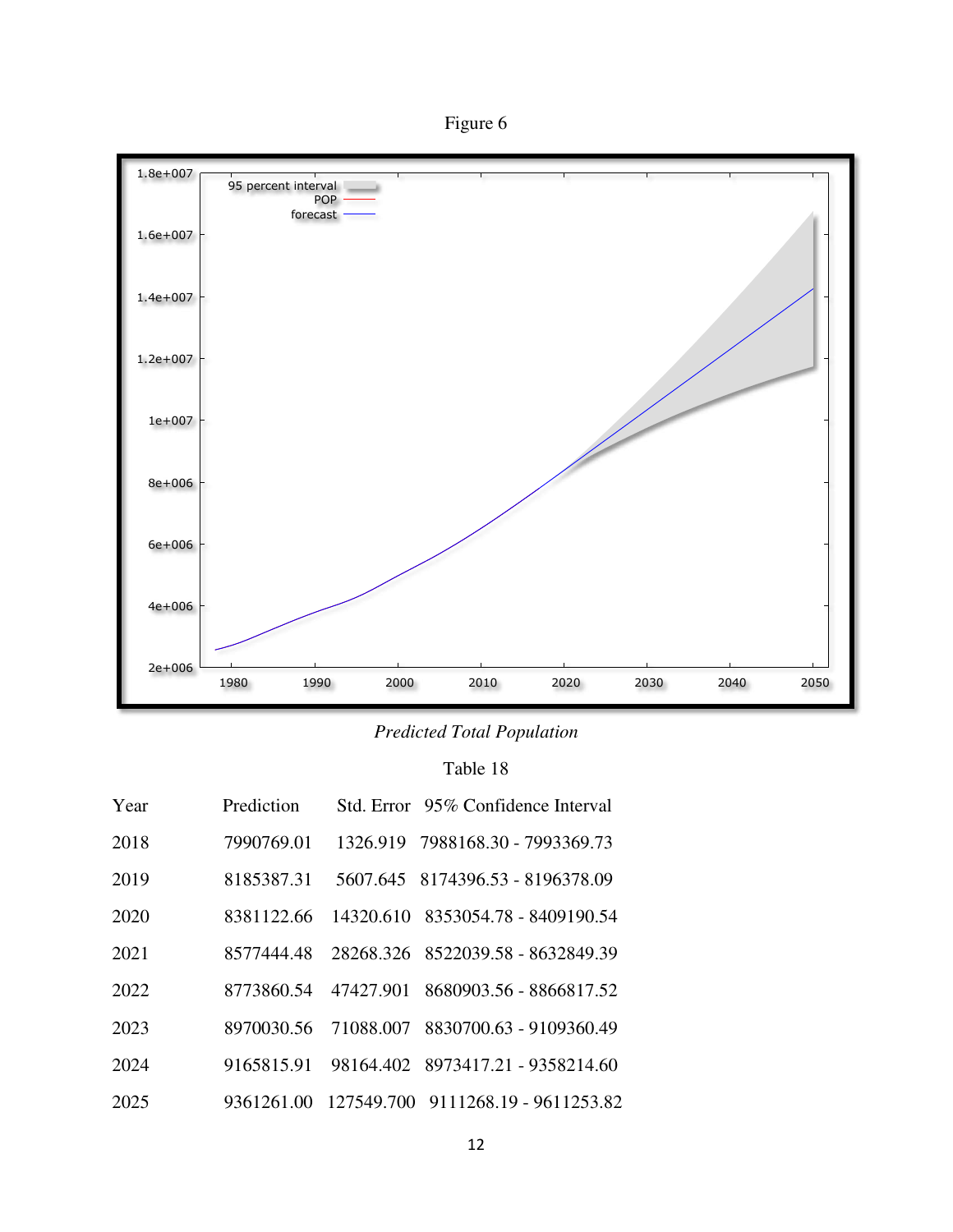Figure 6



*Predicted Total Population* 

# Table 18

| Year | Prediction |           | Std. Error 95% Confidence Interval |
|------|------------|-----------|------------------------------------|
| 2018 | 7990769.01 |           | 1326.919 7988168.30 - 7993369.73   |
| 2019 | 8185387.31 |           | 5607.645 8174396.53 - 8196378.09   |
| 2020 | 8381122.66 |           | 14320.610 8353054.78 - 8409190.54  |
| 2021 | 8577444.48 |           | 28268.326 8522039.58 - 8632849.39  |
| 2022 | 8773860.54 | 47427.901 | 8680903.56 - 8866817.52            |
| 2023 | 8970030.56 |           | 71088.007 8830700.63 - 9109360.49  |
| 2024 | 9165815.91 |           | 98164.402 8973417.21 - 9358214.60  |
| 2025 | 9361261.00 |           | 127549.700 9111268.19 - 9611253.82 |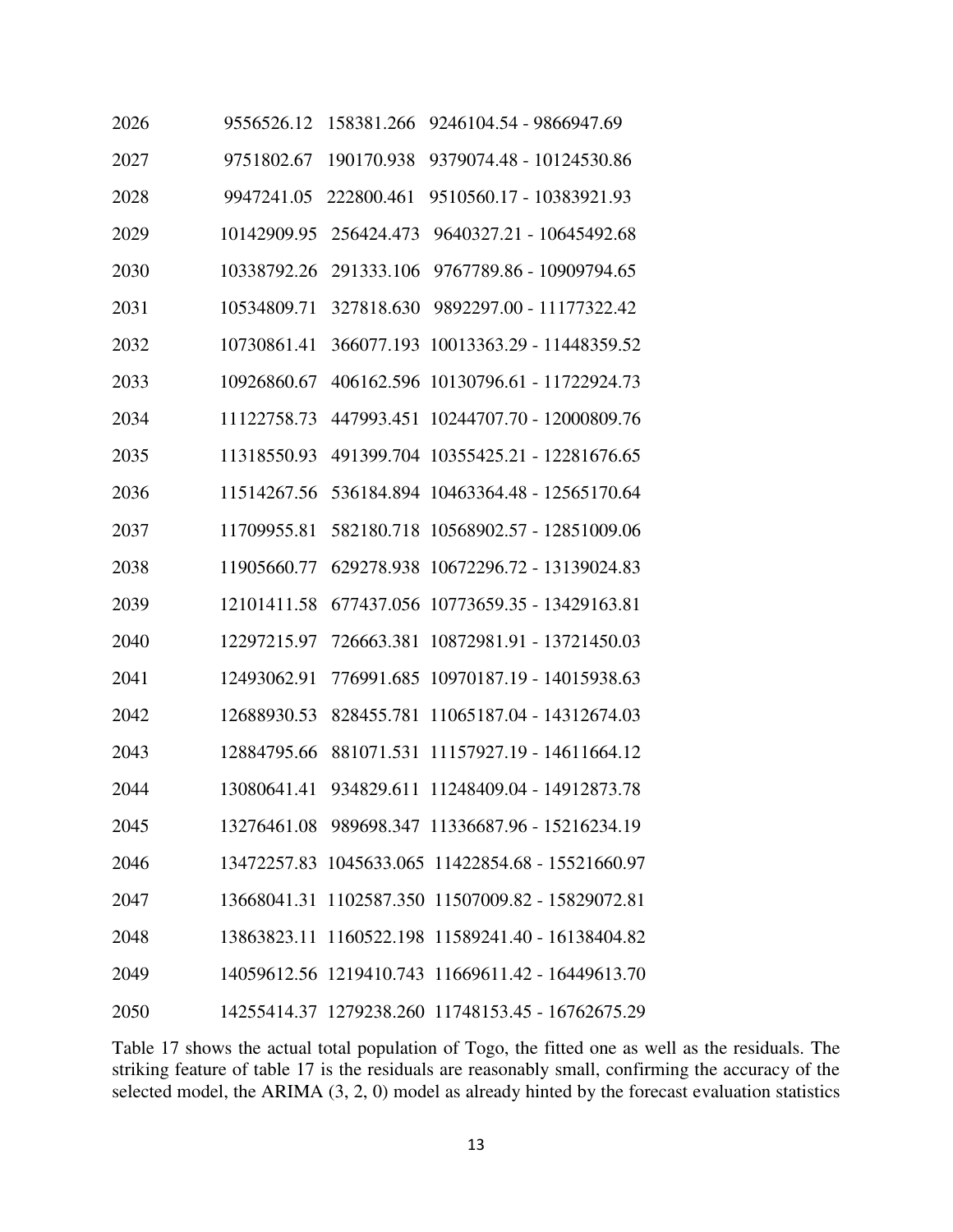| 2026 | 9556526.12  | 158381.266 | 9246104.54 - 9866947.69                           |
|------|-------------|------------|---------------------------------------------------|
| 2027 | 9751802.67  | 190170.938 | 9379074.48 - 10124530.86                          |
| 2028 | 9947241.05  | 222800.461 | 9510560.17 - 10383921.93                          |
| 2029 | 10142909.95 | 256424.473 | 9640327.21 - 10645492.68                          |
| 2030 | 10338792.26 | 291333.106 | 9767789.86 - 10909794.65                          |
| 2031 | 10534809.71 | 327818.630 | 9892297.00 - 11177322.42                          |
| 2032 | 10730861.41 | 366077.193 | 10013363.29 - 11448359.52                         |
| 2033 | 10926860.67 |            | 406162.596 10130796.61 - 11722924.73              |
| 2034 | 11122758.73 | 447993.451 | 10244707.70 - 12000809.76                         |
| 2035 | 11318550.93 | 491399.704 | 10355425.21 - 12281676.65                         |
| 2036 | 11514267.56 | 536184.894 | 10463364.48 - 12565170.64                         |
| 2037 | 11709955.81 |            | 582180.718 10568902.57 - 12851009.06              |
| 2038 | 11905660.77 |            | 629278.938 10672296.72 - 13139024.83              |
| 2039 | 12101411.58 | 677437.056 | 10773659.35 - 13429163.81                         |
| 2040 | 12297215.97 | 726663.381 | 10872981.91 - 13721450.03                         |
| 2041 | 12493062.91 | 776991.685 | 10970187.19 - 14015938.63                         |
| 2042 | 12688930.53 | 828455.781 | 11065187.04 - 14312674.03                         |
| 2043 | 12884795.66 | 881071.531 | 11157927.19 - 14611664.12                         |
| 2044 | 13080641.41 | 934829.611 | 11248409.04 - 14912873.78                         |
| 2045 |             |            | 13276461.08 989698.347 11336687.96 - 15216234.19  |
| 2046 |             |            | 13472257.83 1045633.065 11422854.68 - 15521660.97 |
| 2047 |             |            | 13668041.31 1102587.350 11507009.82 - 15829072.81 |
| 2048 |             |            | 13863823.11 1160522.198 11589241.40 - 16138404.82 |
| 2049 |             |            | 14059612.56 1219410.743 11669611.42 - 16449613.70 |
| 2050 |             |            | 14255414.37 1279238.260 11748153.45 - 16762675.29 |

Table 17 shows the actual total population of Togo, the fitted one as well as the residuals. The striking feature of table 17 is the residuals are reasonably small, confirming the accuracy of the selected model, the ARIMA (3, 2, 0) model as already hinted by the forecast evaluation statistics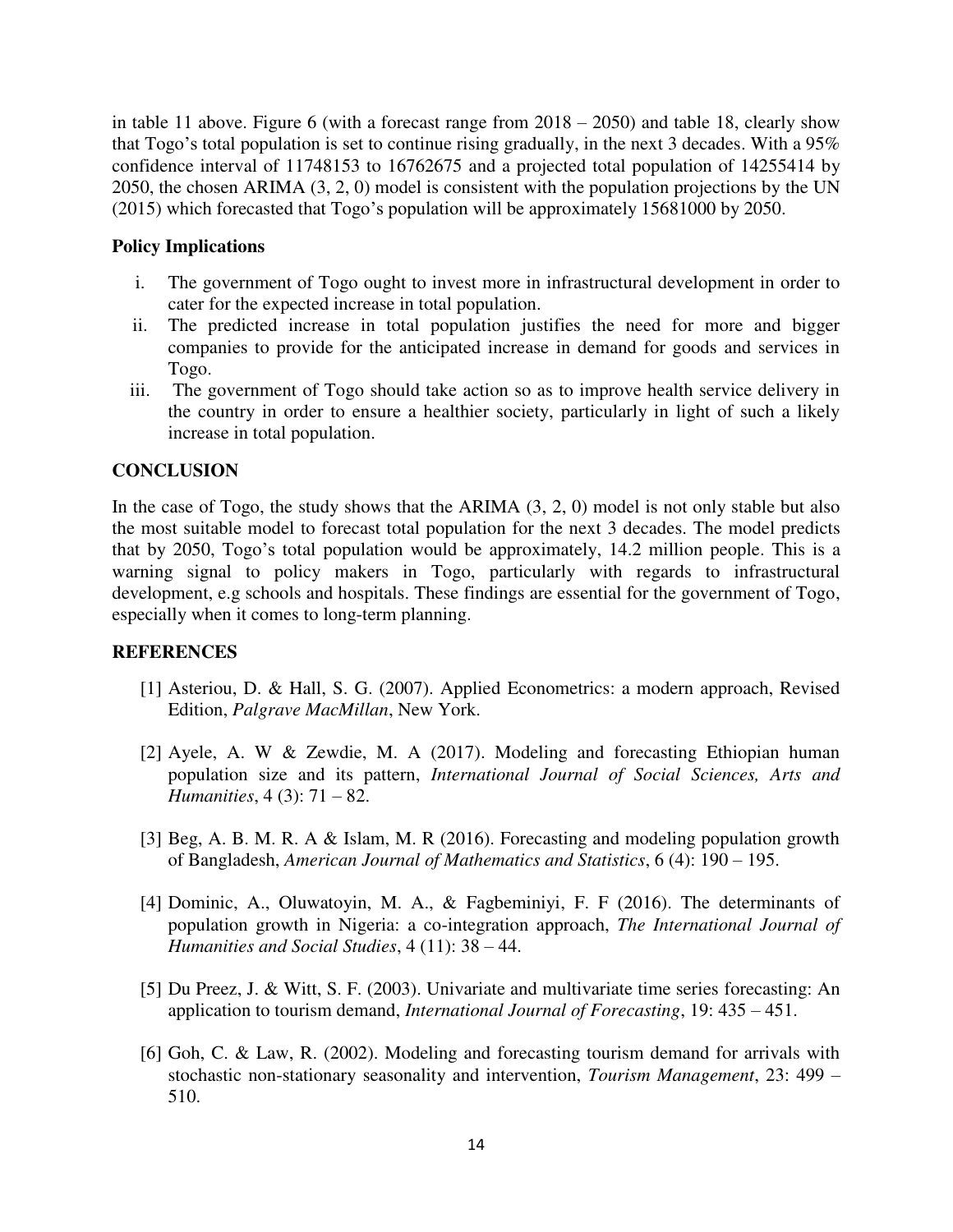in table 11 above. Figure 6 (with a forecast range from  $2018 - 2050$ ) and table 18, clearly show that Togo's total population is set to continue rising gradually, in the next 3 decades. With a 95% confidence interval of 11748153 to 16762675 and a projected total population of 14255414 by 2050, the chosen ARIMA (3, 2, 0) model is consistent with the population projections by the UN (2015) which forecasted that Togo's population will be approximately 15681000 by 2050.

### **Policy Implications**

- i. The government of Togo ought to invest more in infrastructural development in order to cater for the expected increase in total population.
- ii. The predicted increase in total population justifies the need for more and bigger companies to provide for the anticipated increase in demand for goods and services in Togo.
- iii. The government of Togo should take action so as to improve health service delivery in the country in order to ensure a healthier society, particularly in light of such a likely increase in total population.

### **CONCLUSION**

In the case of Togo, the study shows that the ARIMA  $(3, 2, 0)$  model is not only stable but also the most suitable model to forecast total population for the next 3 decades. The model predicts that by 2050, Togo's total population would be approximately, 14.2 million people. This is a warning signal to policy makers in Togo, particularly with regards to infrastructural development, e.g schools and hospitals. These findings are essential for the government of Togo, especially when it comes to long-term planning.

### **REFERENCES**

- [1] Asteriou, D. & Hall, S. G. (2007). Applied Econometrics: a modern approach, Revised Edition, *Palgrave MacMillan*, New York.
- [2] Ayele, A. W & Zewdie, M. A (2017). Modeling and forecasting Ethiopian human population size and its pattern, *International Journal of Social Sciences, Arts and Humanities*, 4 (3): 71 – 82.
- [3] Beg, A. B. M. R. A & Islam, M. R (2016). Forecasting and modeling population growth of Bangladesh, *American Journal of Mathematics and Statistics*, 6 (4): 190 – 195.
- [4] Dominic, A., Oluwatoyin, M. A., & Fagbeminiyi, F. F (2016). The determinants of population growth in Nigeria: a co-integration approach, *The International Journal of Humanities and Social Studies*, 4 (11): 38 – 44.
- [5] Du Preez, J. & Witt, S. F. (2003). Univariate and multivariate time series forecasting: An application to tourism demand, *International Journal of Forecasting*, 19: 435 – 451.
- [6] Goh, C. & Law, R. (2002). Modeling and forecasting tourism demand for arrivals with stochastic non-stationary seasonality and intervention, *Tourism Management*, 23: 499 – 510.